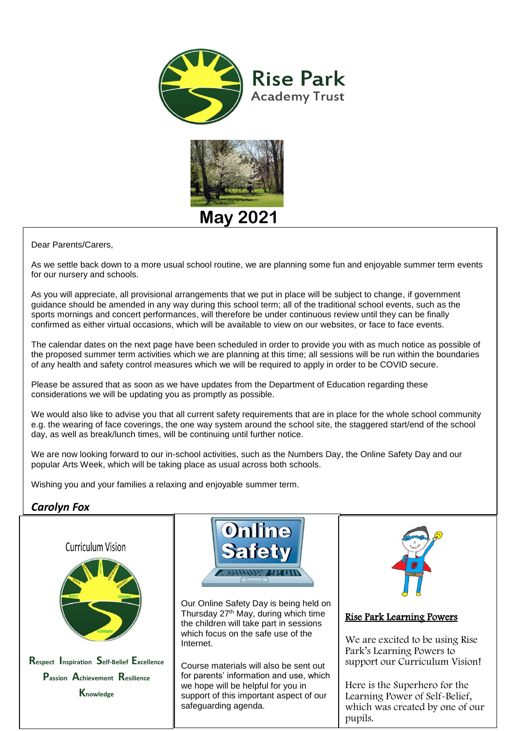



 Dear Parents/Carers,

As we settle back down to a more usual school routine, we are planning some fun and enjoyable summer term events for our nursery and schools.

As you will appreciate, all provisional arrangements that we put in place will be subject to change, if government guidance should be amended in any way during this school term; all of the traditional school events, such as the sports mornings and concert performances, will therefore be under continuous review until they can be finally confirmed as either virtual occasions, which will be available to view on our websites, or face to face events.

The calendar dates on the next page have been scheduled in order to provide you with as much notice as possible of the proposed summer term activities which we are planning at this time; all sessions will be run within the boundaries of any health and safety control measures which we will be required to apply in order to be COVID secure.

Please be assured that as soon as we have updates from the Department of Education regarding these considerations we will be updating you as promptly as possible.

We would also like to advise you that all current safety requirements that are in place for the whole school community e.g. the wearing of face coverings, the one way system around the school site, the staggered start/end of the school day, as well as break/lunch times, will be continuing until further notice.

We are now looking forward to our in-school activities, such as the Numbers Day, the Online Safety Day and our popular Arts Week, which will be taking place as usual across both schools.

Wishing you and your families a relaxing and enjoyable summer term.

## *Carolyn Fox*





**Respect Inspiration Self-Belief Excellence Passion Achievement Resilience Knowledge**



Our Online Safety Day is being held on Thursday 27th May, during which time the children will take part in sessions which focus on the safe use of the Internet.

Course materials will also be sent out for parents' information and use, which we hope will be helpful for you in support of this important aspect of our safeguarding agenda.



Rise Park Learning Powers

We are excited to be using Rise Park's Learning Powers to support our Curriculum Vision!

Here is the Superhero for the Learning Power of Self-Belief, which was created by one of our pupils.